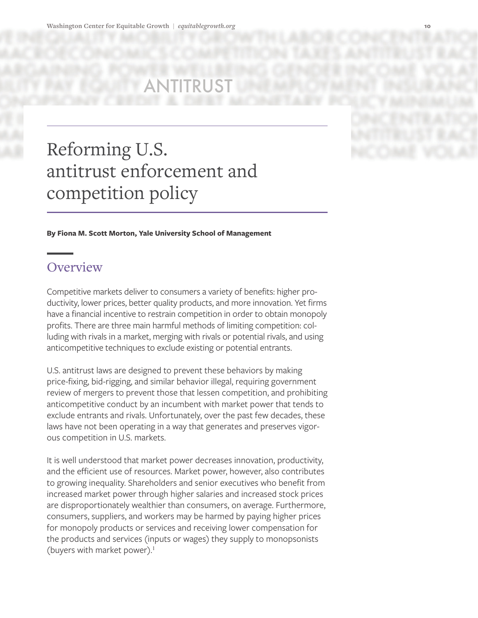# Reforming U.S. antitrust enforcement and competition policy

**By Fiona M. Scott Morton, Yale University School of Management** 

# **Overview**

Competitive markets deliver to consumers a variety of benefits: higher productivity, lower prices, better quality products, and more innovation. Yet firms have a financial incentive to restrain competition in order to obtain monopoly profits. There are three main harmful methods of limiting competition: colluding with rivals in a market, merging with rivals or potential rivals, and using anticompetitive techniques to exclude existing or potential entrants.

U.S. antitrust laws are designed to prevent these behaviors by making price-fixing, bid-rigging, and similar behavior illegal, requiring government review of mergers to prevent those that lessen competition, and prohibiting anticompetitive conduct by an incumbent with market power that tends to exclude entrants and rivals. Unfortunately, over the past few decades, these laws have not been operating in a way that generates and preserves vigorous competition in U.S. markets.

It is well understood that market power decreases innovation, productivity, and the efficient use of resources. Market power, however, also contributes to growing inequality. Shareholders and senior executives who benefit from increased market power through higher salaries and increased stock prices are disproportionately wealthier than consumers, on average. Furthermore, consumers, suppliers, and workers may be harmed by paying higher prices for monopoly products or services and receiving lower compensation for the products and services (inputs or wages) they supply to monopsonists (buyers with market power). $<sup>1</sup>$ </sup>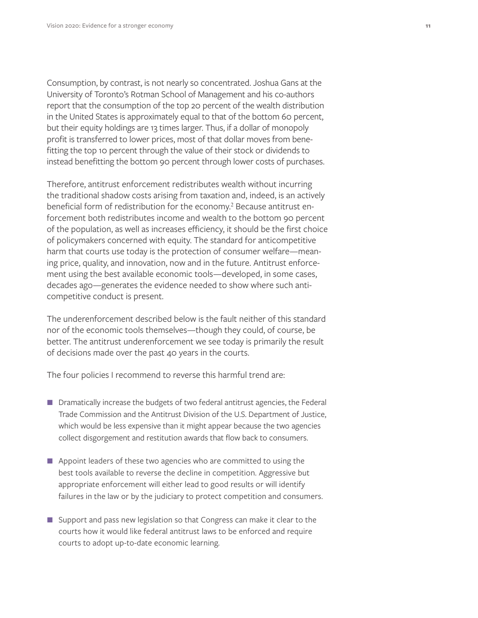Consumption, by contrast, is not nearly so concentrated. Joshua Gans at the University of Toronto's Rotman School of Management and his co-authors report that the consumption of the top 20 percent of the wealth distribution in the United States is approximately equal to that of the bottom 60 percent, but their equity holdings are 13 times larger. Thus, if a dollar of monopoly profit is transferred to lower prices, most of that dollar moves from benefitting the top 10 percent through the value of their stock or dividends to instead benefitting the bottom 90 percent through lower costs of purchases.

Therefore, antitrust enforcement redistributes wealth without incurring the traditional shadow costs arising from taxation and, indeed, is an actively beneficial form of redistribution for the economy.<sup>2</sup> Because antitrust enforcement both redistributes income and wealth to the bottom 90 percent of the population, as well as increases efficiency, it should be the first choice of policymakers concerned with equity. The standard for anticompetitive harm that courts use today is the protection of consumer welfare—meaning price, quality, and innovation, now and in the future. Antitrust enforcement using the best available economic tools—developed, in some cases, decades ago—generates the evidence needed to show where such anticompetitive conduct is present.

The underenforcement described below is the fault neither of this standard nor of the economic tools themselves—though they could, of course, be better. The antitrust underenforcement we see today is primarily the result of decisions made over the past 40 years in the courts.

The four policies I recommend to reverse this harmful trend are:

- **Dramatically increase the budgets of two federal antitrust agencies, the Federal** Trade Commission and the Antitrust Division of the U.S. Department of Justice, which would be less expensive than it might appear because the two agencies collect disgorgement and restitution awards that flow back to consumers.
- **Appoint leaders of these two agencies who are committed to using the** best tools available to reverse the decline in competition. Aggressive but appropriate enforcement will either lead to good results or will identify failures in the law or by the judiciary to protect competition and consumers.
- Support and pass new legislation so that Congress can make it clear to the courts how it would like federal antitrust laws to be enforced and require courts to adopt up-to-date economic learning.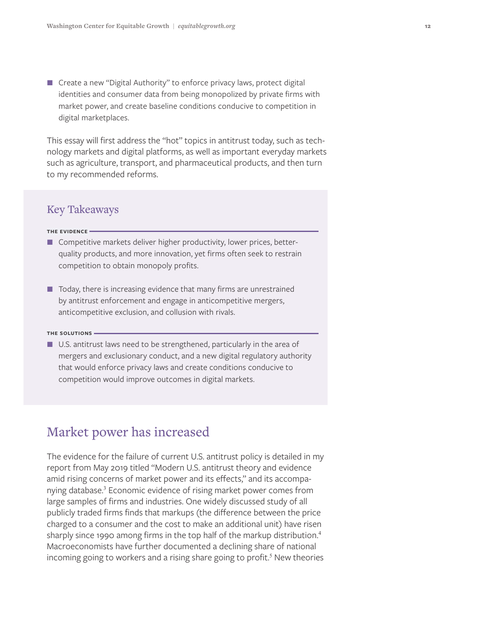■ Create a new "Digital Authority" to enforce privacy laws, protect digital identities and consumer data from being monopolized by private firms with market power, and create baseline conditions conducive to competition in digital marketplaces.

This essay will first address the "hot" topics in antitrust today, such as technology markets and digital platforms, as well as important everyday markets such as agriculture, transport, and pharmaceutical products, and then turn to my recommended reforms.

#### Key Takeaways

#### **THE EVIDENCE**

- Competitive markets deliver higher productivity, lower prices, betterquality products, and more innovation, yet firms often seek to restrain competition to obtain monopoly profits.
- $\blacksquare$  Today, there is increasing evidence that many firms are unrestrained by antitrust enforcement and engage in anticompetitive mergers, anticompetitive exclusion, and collusion with rivals.

#### **THE SOLUTIONs**

■ U.S. antitrust laws need to be strengthened, particularly in the area of mergers and exclusionary conduct, and a new digital regulatory authority that would enforce privacy laws and create conditions conducive to competition would improve outcomes in digital markets.

## Market power has increased

The evidence for the failure of current U.S. antitrust policy is detailed in my report from May 2019 titled "Modern U.S. antitrust theory and evidence amid rising concerns of market power and its effects," and its accompanying database.<sup>3</sup> Economic evidence of rising market power comes from large samples of firms and industries. One widely discussed study of all publicly traded firms finds that markups (the difference between the price charged to a consumer and the cost to make an additional unit) have risen sharply since 1990 among firms in the top half of the markup distribution.<sup>4</sup> Macroeconomists have further documented a declining share of national incoming going to workers and a rising share going to profit.<sup>5</sup> New theories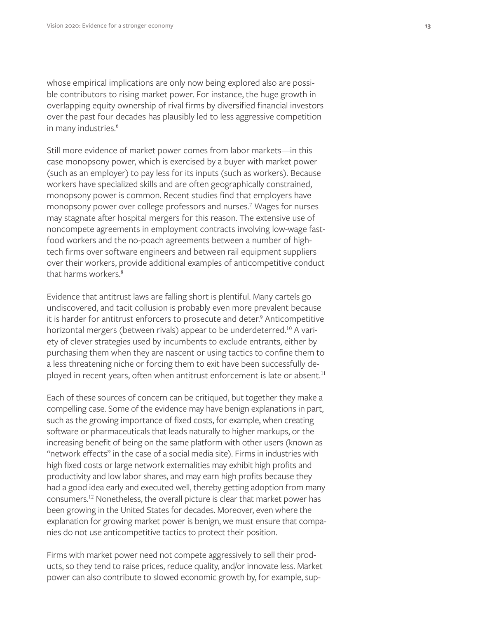whose empirical implications are only now being explored also are possible contributors to rising market power. For instance, the huge growth in overlapping equity ownership of rival firms by diversified financial investors over the past four decades has plausibly led to less aggressive competition in many industries.<sup>6</sup>

Still more evidence of market power comes from labor markets—in this case monopsony power, which is exercised by a buyer with market power (such as an employer) to pay less for its inputs (such as workers). Because workers have specialized skills and are often geographically constrained, monopsony power is common. Recent studies find that employers have monopsony power over college professors and nurses.<sup>7</sup> Wages for nurses may stagnate after hospital mergers for this reason. The extensive use of noncompete agreements in employment contracts involving low-wage fastfood workers and the no-poach agreements between a number of hightech firms over software engineers and between rail equipment suppliers over their workers, provide additional examples of anticompetitive conduct that harms workers<sup>8</sup>

Evidence that antitrust laws are falling short is plentiful. Many cartels go undiscovered, and tacit collusion is probably even more prevalent because it is harder for antitrust enforcers to prosecute and deter.<sup>9</sup> Anticompetitive horizontal mergers (between rivals) appear to be underdeterred.<sup>10</sup> A variety of clever strategies used by incumbents to exclude entrants, either by purchasing them when they are nascent or using tactics to confine them to a less threatening niche or forcing them to exit have been successfully deployed in recent years, often when antitrust enforcement is late or absent.<sup>11</sup>

Each of these sources of concern can be critiqued, but together they make a compelling case. Some of the evidence may have benign explanations in part, such as the growing importance of fixed costs, for example, when creating software or pharmaceuticals that leads naturally to higher markups, or the increasing benefit of being on the same platform with other users (known as "network effects" in the case of a social media site). Firms in industries with high fixed costs or large network externalities may exhibit high profits and productivity and low labor shares, and may earn high profits because they had a good idea early and executed well, thereby getting adoption from many consumers.12 Nonetheless, the overall picture is clear that market power has been growing in the United States for decades. Moreover, even where the explanation for growing market power is benign, we must ensure that companies do not use anticompetitive tactics to protect their position.

Firms with market power need not compete aggressively to sell their products, so they tend to raise prices, reduce quality, and/or innovate less. Market power can also contribute to slowed economic growth by, for example, sup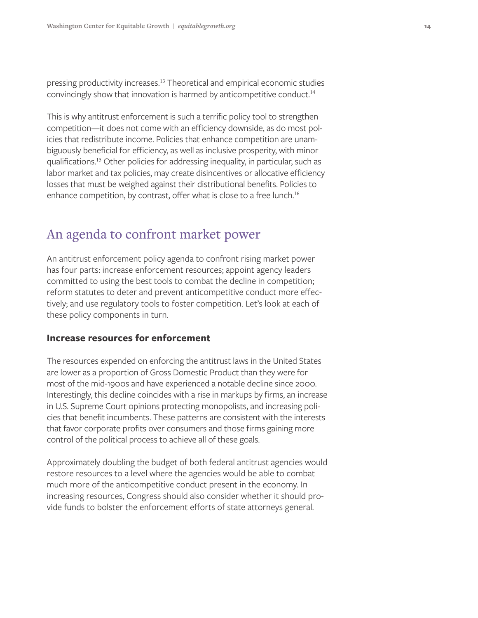pressing productivity increases.<sup>13</sup> Theoretical and empirical economic studies convincingly show that innovation is harmed by anticompetitive conduct.<sup>14</sup>

This is why antitrust enforcement is such a terrific policy tool to strengthen competition—it does not come with an efficiency downside, as do most policies that redistribute income. Policies that enhance competition are unambiguously beneficial for efficiency, as well as inclusive prosperity, with minor qualifications.15 Other policies for addressing inequality, in particular, such as labor market and tax policies, may create disincentives or allocative efficiency losses that must be weighed against their distributional benefits. Policies to enhance competition, by contrast, offer what is close to a free lunch.<sup>16</sup>

## An agenda to confront market power

An antitrust enforcement policy agenda to confront rising market power has four parts: increase enforcement resources; appoint agency leaders committed to using the best tools to combat the decline in competition; reform statutes to deter and prevent anticompetitive conduct more effectively; and use regulatory tools to foster competition. Let's look at each of these policy components in turn.

#### **Increase resources for enforcement**

The resources expended on enforcing the antitrust laws in the United States are lower as a proportion of Gross Domestic Product than they were for most of the mid-1900s and have experienced a notable decline since 2000. Interestingly, this decline coincides with a rise in markups by firms, an increase in U.S. Supreme Court opinions protecting monopolists, and increasing policies that benefit incumbents. These patterns are consistent with the interests that favor corporate profits over consumers and those firms gaining more control of the political process to achieve all of these goals.

Approximately doubling the budget of both federal antitrust agencies would restore resources to a level where the agencies would be able to combat much more of the anticompetitive conduct present in the economy. In increasing resources, Congress should also consider whether it should provide funds to bolster the enforcement efforts of state attorneys general.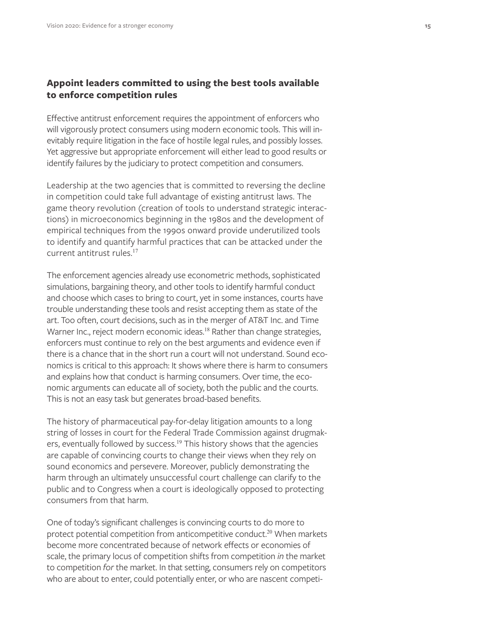#### **Appoint leaders committed to using the best tools available to enforce competition rules**

Effective antitrust enforcement requires the appointment of enforcers who will vigorously protect consumers using modern economic tools. This will inevitably require litigation in the face of hostile legal rules, and possibly losses. Yet aggressive but appropriate enforcement will either lead to good results or identify failures by the judiciary to protect competition and consumers.

Leadership at the two agencies that is committed to reversing the decline in competition could take full advantage of existing antitrust laws. The game theory revolution (creation of tools to understand strategic interactions) in microeconomics beginning in the 1980s and the development of empirical techniques from the 1990s onward provide underutilized tools to identify and quantify harmful practices that can be attacked under the current antitrust rules.17

The enforcement agencies already use econometric methods, sophisticated simulations, bargaining theory, and other tools to identify harmful conduct and choose which cases to bring to court, yet in some instances, courts have trouble understanding these tools and resist accepting them as state of the art. Too often, court decisions, such as in the merger of AT&T Inc. and Time Warner Inc., reject modern economic ideas.<sup>18</sup> Rather than change strategies, enforcers must continue to rely on the best arguments and evidence even if there is a chance that in the short run a court will not understand. Sound economics is critical to this approach: It shows where there is harm to consumers and explains how that conduct is harming consumers. Over time, the economic arguments can educate all of society, both the public and the courts. This is not an easy task but generates broad-based benefits.

The history of pharmaceutical pay-for-delay litigation amounts to a long string of losses in court for the Federal Trade Commission against drugmakers, eventually followed by success.<sup>19</sup> This history shows that the agencies are capable of convincing courts to change their views when they rely on sound economics and persevere. Moreover, publicly demonstrating the harm through an ultimately unsuccessful court challenge can clarify to the public and to Congress when a court is ideologically opposed to protecting consumers from that harm.

One of today's significant challenges is convincing courts to do more to protect potential competition from anticompetitive conduct.<sup>20</sup> When markets become more concentrated because of network effects or economies of scale, the primary locus of competition shifts from competition *in* the market to competition *for* the market. In that setting, consumers rely on competitors who are about to enter, could potentially enter, or who are nascent competi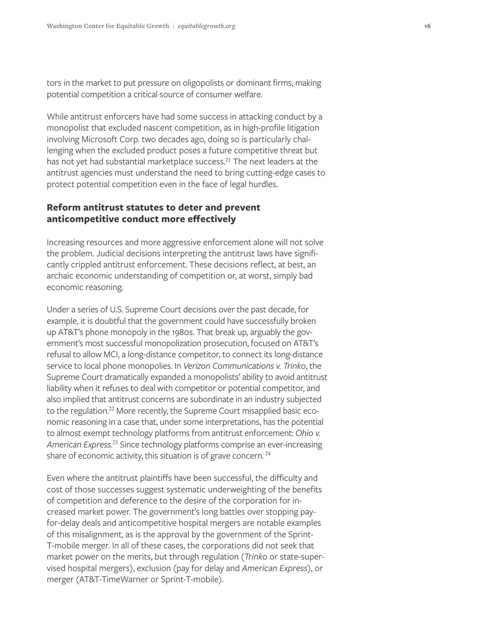tors in the market to put pressure on oligopolists or dominant firms, making potential competition a critical source of consumer welfare.

While antitrust enforcers have had some success in attacking conduct by a monopolist that excluded nascent competition, as in high-profile litigation involving Microsoft Corp. two decades ago, doing so is particularly challenging when the excluded product poses a future competitive threat but has not yet had substantial marketplace success.<sup>21</sup> The next leaders at the antitrust agencies must understand the need to bring cutting-edge cases to protect potential competition even in the face of legal hurdles.

#### **Reform antitrust statutes to deter and prevent anticompetitive conduct more effectively**

Increasing resources and more aggressive enforcement alone will not solve the problem. Judicial decisions interpreting the antitrust laws have significantly crippled antitrust enforcement. These decisions reflect, at best, an archaic economic understanding of competition or, at worst, simply bad economic reasoning.

Under a series of U.S. Supreme Court decisions over the past decade, for example, it is doubtful that the government could have successfully broken up AT&T's phone monopoly in the 1980s. That break up, arguably the government's most successful monopolization prosecution, focused on AT&T's refusal to allow MCI, a long-distance competitor, to connect its long-distance service to local phone monopolies. In *Verizon Communications v. Trinko*, the Supreme Court dramatically expanded a monopolists' ability to avoid antitrust liability when it refuses to deal with competitor or potential competitor, and also implied that antitrust concerns are subordinate in an industry subjected to the regulation.<sup>22</sup> More recently, the Supreme Court misapplied basic economic reasoning in a case that, under some interpretations, has the potential to almost exempt technology platforms from antitrust enforcement: *Ohio v. American Express*. 23 Since technology platforms comprise an ever-increasing share of economic activity, this situation is of grave concern.<sup>24</sup>

Even where the antitrust plaintiffs have been successful, the difficulty and cost of those successes suggest systematic underweighting of the benefits of competition and deference to the desire of the corporation for increased market power. The government's long battles over stopping payfor-delay deals and anticompetitive hospital mergers are notable examples of this misalignment, as is the approval by the government of the Sprint-T-mobile merger. In all of these cases, the corporations did not seek that market power on the merits, but through regulation (*Trinko* or state-supervised hospital mergers), exclusion (pay for delay and *American Express*), or merger (AT&T-TimeWarner or Sprint-T-mobile).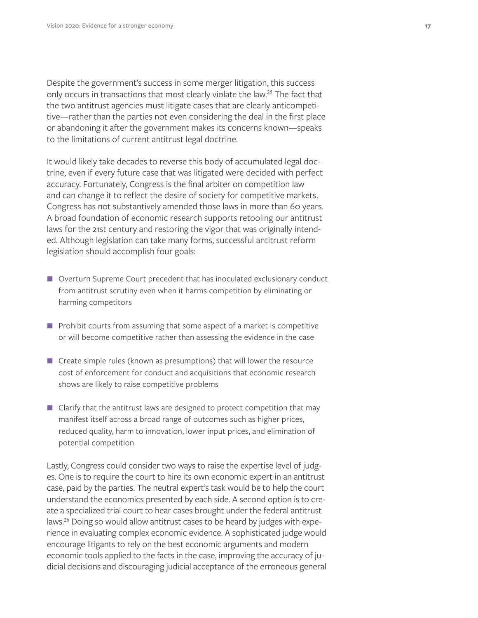Despite the government's success in some merger litigation, this success only occurs in transactions that most clearly violate the law.<sup>25</sup> The fact that the two antitrust agencies must litigate cases that are clearly anticompetitive—rather than the parties not even considering the deal in the first place or abandoning it after the government makes its concerns known—speaks to the limitations of current antitrust legal doctrine.

It would likely take decades to reverse this body of accumulated legal doctrine, even if every future case that was litigated were decided with perfect accuracy. Fortunately, Congress is the final arbiter on competition law and can change it to reflect the desire of society for competitive markets. Congress has not substantively amended those laws in more than 60 years. A broad foundation of economic research supports retooling our antitrust laws for the 21st century and restoring the vigor that was originally intended. Although legislation can take many forms, successful antitrust reform legislation should accomplish four goals:

- Overturn Supreme Court precedent that has inoculated exclusionary conduct from antitrust scrutiny even when it harms competition by eliminating or harming competitors
- **Prohibit courts from assuming that some aspect of a market is competitive** or will become competitive rather than assessing the evidence in the case
- Create simple rules (known as presumptions) that will lower the resource cost of enforcement for conduct and acquisitions that economic research shows are likely to raise competitive problems
- Clarify that the antitrust laws are designed to protect competition that may manifest itself across a broad range of outcomes such as higher prices, reduced quality, harm to innovation, lower input prices, and elimination of potential competition

Lastly, Congress could consider two ways to raise the expertise level of judges. One is to require the court to hire its own economic expert in an antitrust case, paid by the parties. The neutral expert's task would be to help the court understand the economics presented by each side. A second option is to create a specialized trial court to hear cases brought under the federal antitrust laws.26 Doing so would allow antitrust cases to be heard by judges with experience in evaluating complex economic evidence. A sophisticated judge would encourage litigants to rely on the best economic arguments and modern economic tools applied to the facts in the case, improving the accuracy of judicial decisions and discouraging judicial acceptance of the erroneous general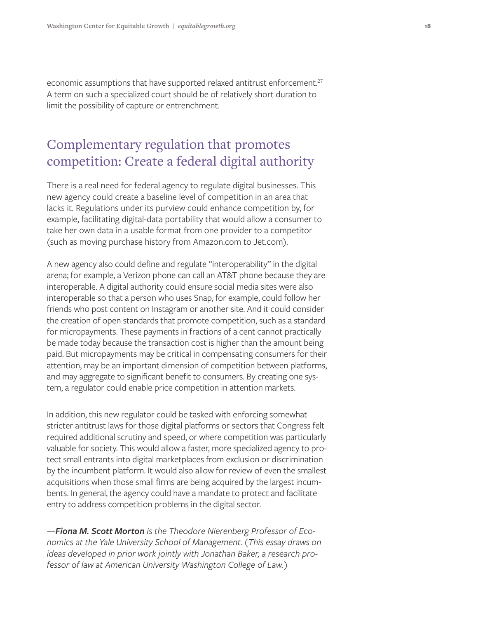economic assumptions that have supported relaxed antitrust enforcement.<sup>27</sup> A term on such a specialized court should be of relatively short duration to limit the possibility of capture or entrenchment.

# Complementary regulation that promotes competition: Create a federal digital authority

There is a real need for federal agency to regulate digital businesses. This new agency could create a baseline level of competition in an area that lacks it. Regulations under its purview could enhance competition by, for example, facilitating digital-data portability that would allow a consumer to take her own data in a usable format from one provider to a competitor (such as moving purchase history from Amazon.com to Jet.com).

A new agency also could define and regulate "interoperability" in the digital arena; for example, a Verizon phone can call an AT&T phone because they are interoperable. A digital authority could ensure social media sites were also interoperable so that a person who uses Snap, for example, could follow her friends who post content on Instagram or another site. And it could consider the creation of open standards that promote competition, such as a standard for micropayments. These payments in fractions of a cent cannot practically be made today because the transaction cost is higher than the amount being paid. But micropayments may be critical in compensating consumers for their attention, may be an important dimension of competition between platforms, and may aggregate to significant benefit to consumers. By creating one system, a regulator could enable price competition in attention markets.

In addition, this new regulator could be tasked with enforcing somewhat stricter antitrust laws for those digital platforms or sectors that Congress felt required additional scrutiny and speed, or where competition was particularly valuable for society. This would allow a faster, more specialized agency to protect small entrants into digital marketplaces from exclusion or discrimination by the incumbent platform. It would also allow for review of even the smallest acquisitions when those small firms are being acquired by the largest incumbents. In general, the agency could have a mandate to protect and facilitate entry to address competition problems in the digital sector.

*—Fiona M. Scott Morton is the Theodore Nierenberg Professor of Economics at the Yale University School of Management. (This essay draws on ideas developed in prior work jointly with Jonathan Baker, a research professor of law at American University Washington College of Law.)*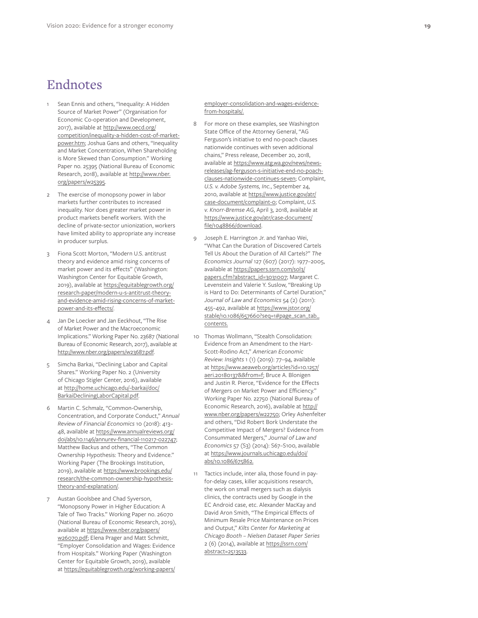## Endnotes

- Sean Ennis and others, "Inequality: A Hidden Source of Market Power" (Organisation for Economic Co-operation and Development, 2017), available at [http://www.oecd.org/](http://www.oecd.org/competition/inequality-a-hidden-cost-of-market-power.htm) [competition/inequality-a-hidden-cost-of-market](http://www.oecd.org/competition/inequality-a-hidden-cost-of-market-power.htm)[power.htm;](http://www.oecd.org/competition/inequality-a-hidden-cost-of-market-power.htm) Joshua Gans and others, "Inequality and Market Concentration, When Shareholding is More Skewed than Consumption." Working Paper no. 25395 (National Bureau of Economic Research, 2018), available at [http://www.nber.](http://www.nber.org/papers/w25395) [org/papers/w25395.](http://www.nber.org/papers/w25395)
- 2 The exercise of monopsony power in labor markets further contributes to increased inequality. Nor does greater market power in product markets benefit workers. With the decline of private-sector unionization, workers have limited ability to appropriate any increase in producer surplus.
- 3 Fiona Scott Morton, "Modern U.S. antitrust theory and evidence amid rising concerns of market power and its effects" (Washington: Washington Center for Equitable Growth, 2019), available at [https://equitablegrowth.org/](https://equitablegrowth.org/research-paper/modern-u-s-antitrust-theory-and-evidence-amid-rising-concerns-of-market-power-and-its-effects/) [research-paper/modern-u-s-antitrust-theory](https://equitablegrowth.org/research-paper/modern-u-s-antitrust-theory-and-evidence-amid-rising-concerns-of-market-power-and-its-effects/)[and-evidence-amid-rising-concerns-of-market](https://equitablegrowth.org/research-paper/modern-u-s-antitrust-theory-and-evidence-amid-rising-concerns-of-market-power-and-its-effects/)[power-and-its-effects/](https://equitablegrowth.org/research-paper/modern-u-s-antitrust-theory-and-evidence-amid-rising-concerns-of-market-power-and-its-effects/).
- Jan De Loecker and Jan Eeckhout, "The Rise of Market Power and the Macroeconomic Implications." Working Paper No. 23687 (National Bureau of Economic Research, 2017), available at [http://www.nber.org/papers/w23687.pdf.](http://www.nber.org/papers/w23687.pdf)
- 5 Simcha Barkai, "Declining Labor and Capital Shares." Working Paper No. 2 (University of Chicago Stigler Center, 2016), available at [http://home.uchicago.edu/~barkai/doc/](http://home.uchicago.edu/~barkai/doc/BarkaiDecliningLaborCapital.pdf) [BarkaiDecliningLaborCapital.pdf](http://home.uchicago.edu/~barkai/doc/BarkaiDecliningLaborCapital.pdf).
- 6 Martin C. Schmalz, "Common-Ownership, Concentration, and Corporate Conduct," *Annual Review of Financial Economics* 10 (2018): 413– 48, available at [https://www.annualreviews.org/](https://www.annualreviews.org/doi/abs/10.1146/annurev-financial-110217-022747) [doi/abs/10.1146/annurev-financial-110217-022747;](https://www.annualreviews.org/doi/abs/10.1146/annurev-financial-110217-022747) Matthew Backus and others, "The Common Ownership Hypothesis: Theory and Evidence." Working Paper (The Brookings Institution, 2019), available at [https://www.brookings.edu/](https://www.brookings.edu/research/the-common-ownership-hypothesis-theory-and-explanation/) [research/the-common-ownership-hypothesis](https://www.brookings.edu/research/the-common-ownership-hypothesis-theory-and-explanation/)[theory-and-explanation/](https://www.brookings.edu/research/the-common-ownership-hypothesis-theory-and-explanation/).
- Austan Goolsbee and Chad Syverson, "Monopsony Power in Higher Education: A Tale of Two Tracks." Working Paper no. 26070 (National Bureau of Economic Research, 2019), available at [https://www.nber.org/papers/](https://www.nber.org/papers/w26070.pdf) [w26070.pdf](https://www.nber.org/papers/w26070.pdf); Elena Prager and Matt Schmitt, "Employer Consolidation and Wages: Evidence from Hospitals." Working Paper (Washington Center for Equitable Growth, 2019), available at [https://equitablegrowth.org/working-papers/](https://equitablegrowth.org/working-papers/employer-consolidation-and-wages-evidence-from-hospitals/)

[employer-consolidation-and-wages-evidence](https://equitablegrowth.org/working-papers/employer-consolidation-and-wages-evidence-from-hospitals/)[from-hospitals/.](https://equitablegrowth.org/working-papers/employer-consolidation-and-wages-evidence-from-hospitals/)

- 8 For more on these examples, see Washington State Office of the Attorney General, "AG Ferguson's initiative to end no-poach clauses nationwide continues with seven additional chains," Press release, December 20, 2018, available at [https://www.atg.wa.gov/news/news](https://www.atg.wa.gov/news/news-releases/ag-ferguson-s-initiative-end-no-poach-clauses-nationwide-continues-seven)[releases/ag-ferguson-s-initiative-end-no-poach](https://www.atg.wa.gov/news/news-releases/ag-ferguson-s-initiative-end-no-poach-clauses-nationwide-continues-seven)[clauses-nationwide-continues-seven;](https://www.atg.wa.gov/news/news-releases/ag-ferguson-s-initiative-end-no-poach-clauses-nationwide-continues-seven) Complaint, *U.S. v. Adobe Systems, Inc.*, September 24, 2010, available at [https://www.justice.gov/atr/](https://www.justice.gov/atr/case-document/complaint-0) [case-document/complaint-0](https://www.justice.gov/atr/case-document/complaint-0); Complaint, *U.S. v. Knorr-Bremse AG*, April 3, 2018, available at [https://www.justice.gov/atr/case-document/](https://www.justice.gov/atr/case-document/file/1048866/download) [file/1048866/download.](https://www.justice.gov/atr/case-document/file/1048866/download)
- Joseph E. Harrington Jr. and Yanhao Wei, "What Can the Duration of Discovered Cartels Tell Us About the Duration of All Cartels?" *The Economics Journal* 127 (607) (2017): 1977–2005, available at [https://papers.ssrn.com/sol3/](https://papers.ssrn.com/sol3/papers.cfm?abstract_id=3031007) [papers.cfm?abstract\\_id=3031007;](https://papers.ssrn.com/sol3/papers.cfm?abstract_id=3031007) Margaret C. Levenstein and Valerie Y. Suslow, "Breaking Up is Hard to Do: Determinants of Cartel Duration," *Journal of Law and Economics* 54 (2) (2011): 455–492, available at https://www.jstor.org/ stable/10.1086/657660?seq=1#page\_scan\_tab\_ contents .
- 10 Thomas Wollmann, "Stealth Consolidation: Evidence from an Amendment to the Hart-Scott-Rodino Act," *American Economic Review: Insights* 1 (1) (2019): 77–94, available at [https://www.aeaweb.org/articles?id=10.1257/](https://www.aeaweb.org/articles?id=10.1257/aeri.20180137&&from=f) [aeri.20180137&&from=f](https://www.aeaweb.org/articles?id=10.1257/aeri.20180137&&from=f); Bruce A. Blonigen and Justin R. Pierce, "Evidence for the Effects of Mergers on Market Power and Efficiency." Working Paper No. 22750 (National Bureau of Economic Research, 2016), available at [http://](http://www.nber.org/papers/w22750) [www.nber.org/papers/w22750](http://www.nber.org/papers/w22750); Orley Ashenfelter and others, "Did Robert Bork Understate the Competitive Impact of Mergers? Evidence from Consummated Mergers," *Journal of Law and Economics* 57 (S3) (2014): S67–S100, available at [https://www.journals.uchicago.edu/doi/](https://www.journals.uchicago.edu/doi/abs/10.1086/675862) [abs/10.1086/675862](https://www.journals.uchicago.edu/doi/abs/10.1086/675862) .
- Tactics include, inter alia, those found in payfor-delay cases, killer acquisitions research, the work on small mergers such as dialysis clinics, the contracts used by Google in the EC Android case, etc. Alexander MacKay and David Aron Smith, "The Empirical Effects of Minimum Resale Price Maintenance on Prices and Output," *Kilts Center for Marketing at Chicago Booth – Nielsen Dataset Paper Series* 2 (6) (2014), available at [https://ssrn.com/](https://ssrn.com/abstract=2513533) [abstract=2513533.](https://ssrn.com/abstract=2513533)